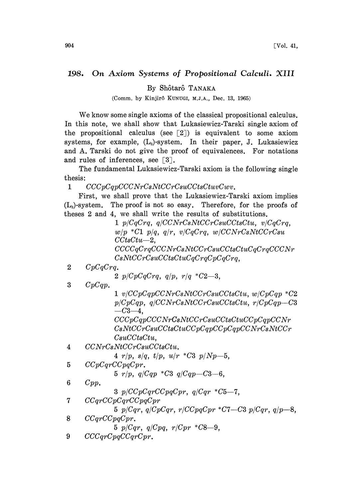## 198. On Axiom Systems of Propositional Calculi. XIII

By Shôtarô TANAKA

(Comm. by Kinjirô KUNUGI, M.J.A., Dec. 13, 1965)

We know some single axioms of the classical propositional calculus. In this note, we shall show that Lukasiewicz-Tarski single axiom of the propositional calculus (see  $\lceil 2 \rceil$ ) is equivalent to some axiom systems, for example,  $(L_3)$ -system. In their paper, J. Lukasiewicz and A. Tarski do not give the proof of equivalences. For notations and rules of inferences, see  $\lceil 3 \rceil$ .

The fundamental Lukasiewicz-Tarski axiom is the following single thesis:

 $1$   $CCCpCqpCCCNrCsNtCCrCsuCCtsCtuvCwv.$ 

First, we shall prove that the Lukasiewicz-Tarski axiom implies  $(L<sub>s</sub>)$ -system. The proof is not so easy. Therefore, for the proofs of theses 2 and 4, we shall write the results of substitutions.

> $1 p/CqCrq, q/CCNrCsNtCCrCsuCCtsCtu, v/CqCrq,$  $w/p$  \*C1  $p/q$ ,  $q/r$ ,  $v/CqCrq$ ,  $w/CCNrCsNtCCrCsu$  $CCtsCtu - 2$  $CCCGCTqCCCNrCsNtCCrCsuCCtsCtuCqCrqCCCNr$ CsNtCCrCsuCCtsCtuCqCrqCpCqCrq

2  $CpCqCrq$ .

2  $p/CpCqCrq, q/p, r/q * C2-3,$ 

 $3$   $CpCqp.$ 

 $1 \ v/CCpCqpCCNrCsNtCCrCsuCCtsCtu, w/CpCqp *C2$  $p/CpCqp$ ,  $q/CCNrCsNtCCrCsuCCtsCtu$ ,  $r/CpCqp$ —C3  $-C3-4$ .

CCCpCqpCCCNrCsNtCCrCsuCCtsCtuCCpCqpCCNr CsNtCCrCsuCCtsCtuCCpCqpCCpCqpCCNrCsNtCCr CsuCCtsCtu,

4 CCNrCsNtCCrCsuCCtsCtu.

4  $r/p$ ,  $s/q$ ,  $t/p$ ,  $u/r$  \*C3  $p/Np-5$ ,

5 CCpCqrCCpqCpr.

5  $r/p$ ,  $q/Cqp * C3$   $q/Cqp-C3-6$ ,

- 6 Cpp.
	- 3  $p/CCpCqrCCpqCpr, q/Cqr *C5-7,$
- 7 CCqrCCpCqrCCpqCpr

5  $p/Cqr$ ,  $q/CpCqr$ ,  $r/CCpqCpr$  \*C7-C3  $p/Cqr$ ,  $q/p-8$ ,

- 8 CCqrCCpqCpr.
	- 5  $p/Cqr$ ,  $q/Cpq$ ,  $r/Cpr$  \* $C8-9$ .
- 9 CCCqrCpqCCqrCpr.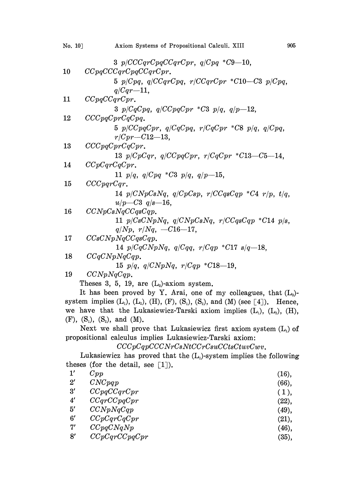| No. 10] | 905<br>Axiom Systems of Propositional Calculi. XIII                                                                     |
|---------|-------------------------------------------------------------------------------------------------------------------------|
|         | 3 $p/CCCqrCpqCCqrCpr, q/Cpq*C9-10,$                                                                                     |
| $10\,$  | CCpqCCCqrCpqCCqrCpr.                                                                                                    |
|         | 5 $p/Cpq$ , $q/CCqrCpq$ , $r/CCqrCpr$ * $C10-C3$ $p/Cpq$ ,                                                              |
|         | $q/Cqr-11$ ,                                                                                                            |
| 11      | CCpqCCqrCpr.                                                                                                            |
|         | 3 $p/CqCpq$ , $q/CCpqCpr$ *C3 $p/q$ , $q/p-12$ ,                                                                        |
| 12      | CCCpqCprCqCpq.                                                                                                          |
|         | 5 $p/CcpqCpr$ , $q/CqCpq$ , $r/CqCpr$ *C8 $p/q$ , $q/Cpq$ ,                                                             |
|         | $r/Cpr-C12-13$ ,                                                                                                        |
| 13      | CCCpqCprCqCpr.                                                                                                          |
|         | 13 $p/CpCqr$ , $q/CCpqCpr$ , $r/CqCpr$ *C13-C5-14,                                                                      |
| 14      | CCpCqrCqCpr.                                                                                                            |
|         | 11 $p/q$ , $q/Cpq$ *C3 $p/q$ , $q/p-15$ ,                                                                               |
| 15      | CCCpqrCqr.                                                                                                              |
|         | 14 $p/CNpCsNq$ , $q/CpCsp$ , $r/CCqsCqp$ *C4 $r/p$ , $t/q$ ,                                                            |
|         | $u/p - C3$ q/s-16,                                                                                                      |
| 16      | CCNpCsNqCCqsCqp.                                                                                                        |
|         | 11 $p/CsCNpNq$ , $q/CNpCsNq$ , $r/CCqsCqp$ *C14 $p/s$ ,                                                                 |
|         | $q/Np, r/Nq, -C16-17,$                                                                                                  |
| 17      | CCsC NpNqCCqsCqp.                                                                                                       |
|         | 14 $p/CqCNpNq$ , $q/Cqq$ , $r/Cqp$ *C17 $s/q$ -18,                                                                      |
| 18      | CCqC NpNqCqp.                                                                                                           |
|         | 15 $p/q$ , $q/CNpNq$ , $r/Cqp * C18-19$ ,                                                                               |
| 19      | CCNpNqCqp.                                                                                                              |
|         | Theses 3, 5, 19, are $(L_3)$ -axiom system.<br>It has been nuclear by $V - A$ not and $f$ may callege was that $(T - )$ |

It has been proved by Y. Arai, one of my colleagues, that  $(L<sub>3</sub>)$ system implies  $(L_1)$ ,  $(L_2)$ ,  $(H)$ ,  $(F)$ ,  $(S_1)$ ,  $(S_2)$ , and  $(M)$  (see [4]). Hence, we have that the Lukasiewicz-Tarski axiom implies  $(L_1)$ ,  $(L_2)$ ,  $(H)$ , (F),  $(S_1)$ ,  $(S_2)$ , and  $(M)$ .

Next we shall prove that Lukasiewicz first axiom system  $(L_i)$  of propositional calculus implies Lukasiewicz-Tarski axiom:

 $CCCpCqpCCCNrCsNtCCrCsuCCtsCtuvCwv.$ 

Lukasiewicz has proved that the  $(L<sub>1</sub>)$ -system implies the following theses (for the detail, see  $\lceil 1 \rceil$ ).

| $1^{\prime}$ | Cpp           | (16),    |
|--------------|---------------|----------|
| $2^{\prime}$ | CNCpqp        | $(66)$ , |
| 3'           | CCpqCCqrCpr   | (1),     |
| $4^{\prime}$ | CCqrCCpqCpr   | (22),    |
| 5′           | CCNpNqCqp     | (49),    |
| $6^{\prime}$ | CCpCqrCqCpr   | (21),    |
| 7'           | CCpqCNqNp     | (46),    |
| 8′           | CCpCqrCCpqCpr | (35),    |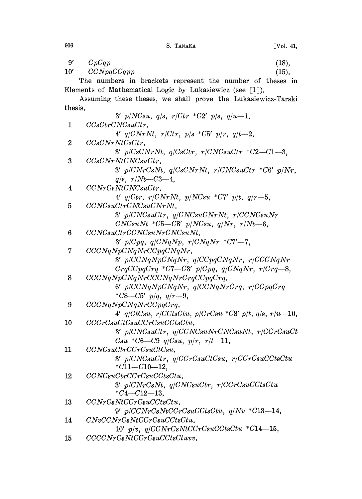S. TANAKA

 $9'$  $CpCqp$  $(18).$  $CCNpqCCqpp$  $10'$  $(15).$ The numbers in brackets represent the number of theses in Elements of Mathematical Logic by Lukasiewicz (see  $\lceil 1 \rceil$ ). Assuming these theses, we shall prove the Lukasiewicz-Tarski thesis. 3'  $p/NCsu$ ,  $q/s$ ,  $r/ctr$  \*C2'  $p/s$ ,  $q/u-1$ ,  $\mathbf{1}$  $CCsCtrCNCsuCtr.$ 4'  $q/CNrNt$ ,  $r/Ctr$ ,  $p/s$  \*C5'  $p/r$ ,  $q/t-2$ ,  $\overline{2}$  $CCsCNrNtCsCtr.$  $3'$  p/CsCNrNt, q/CsCtr, r/CNCsuCtr \*C2-C1-3, 3  $CCsCNrNtCNCsuCtr.$ 3'  $p/CNrCsNt$ ,  $q/CsCNrNt$ ,  $r/CNCsuCtr$  \*C6'  $p/Nr$ .  $q/s$ ,  $r/Nt - C3 - 4$ .  $\overline{\mathbf{4}}$  $CCNrCsNtCNCsuCtr.$ 4'  $q/Ctr$ ,  $r/CNrNt$ ,  $p/NCsu$  \*C7'  $p/t$ ,  $q/r-5$ ,  $\overline{5}$ CCNCsuCtrCNCsuCNrNt.  $3'$  p/CNCsuCtr, q/CNCsuCNrNt, r/CCNCsuNr  $CNCsuNt *C5-C8' p/NCsu, q/Nr, r/Nt-6,$  $6\phantom{a}$  $CCNCsuCtrCCNCsuNrCNCsuNt.$ 3'  $p/Cpq$ ,  $q/CNqNp$ ,  $r/CNqNr$  \*C7'-7.  $\overline{7}$  $CCCNqNpCNqNrCCpqCNqNr.$  $3'$  p/CCNqNpCNqNr, q/CCpqCNqNr, r/CCCNqNr  $CrgCCpqCrq$  \*C7-C3'  $p/Cpq$ ,  $q/CNqNr$ ,  $r/Crq-8$ , 8  $CCCNqNpCNqNrCCCNqNrCrqCCpqCrq$ .  $6'$  p/CCNqNpCNqNr, q/CCNqNrCrq, r/CCpqCrq \*C8-C5'  $p/q$ ,  $q/r$ -9, 9  $CCCNqNpCNqNrCCpqCrq.$ 4'  $q/CtCsu, r/CCtsCtu, p/CrCsu *C8' p/t, q/s, r/u-10,$ 10  $CCCrCsuCtCsuCCcCsuCCtsCtu.$  $3'$  p/CNCsuCtr, q/CCNCsuNrCNCsuNt, r/CCrCsuCt  $Csu * C6-C9$  q/Csu, p/r, r/t-11, 11  $CCNCsuctr CCrCsuCtCsu.$  $3'$  p/CNCsuCtr, q/CCrCsuCtCsu, r/CCrCsuCCtsCtu  $*C11 - C10 - 12,$ 12  $CCNCsuCtrCCrCsuCCtsCtu.$  $3'$  p/CNrCsNt, q/CNCsuCtr, r/CCrCsuCCtsCtu  $*C4 - C12 - 13.$ 13  $CCNrCsNtCCrCsuCCtsCtu.$  $9'$  p/CCNrCsNtCCrCsuCCtsCtu, q/Nv \*C13-14,  $C NvCC NrC sNtCC rC suCC tsC tu.$ 14  $10'$  p/v.  $q/CCNrCsNtCCrCsuCCtsCtu *C14-15$ ,  $CCCNrCsNtCCrCsuCCtsCtuvv.$  $15$ 

906